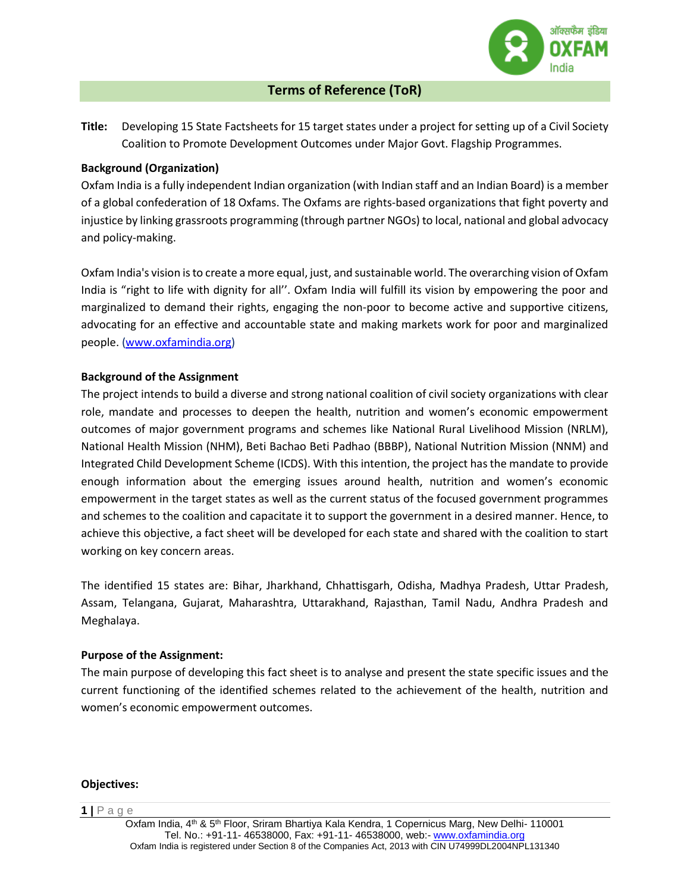

# **Terms of Reference (ToR)**

**Title:** Developing 15 State Factsheets for 15 target states under a project for setting up of a Civil Society Coalition to Promote Development Outcomes under Major Govt. Flagship Programmes.

#### **Background (Organization)**

Oxfam India is a fully independent Indian organization (with Indian staff and an Indian Board) is a member of a global confederation of 18 Oxfams. The Oxfams are rights-based organizations that fight poverty and injustice by linking grassroots programming (through partner NGOs) to local, national and global advocacy and policy-making.

Oxfam India's vision is to create a more equal, just, and sustainable world. The overarching vision of Oxfam India is "right to life with dignity for all''. Oxfam India will fulfill its vision by empowering the poor and marginalized to demand their rights, engaging the non-poor to become active and supportive citizens, advocating for an effective and accountable state and making markets work for poor and marginalized people. [\(www.oxfamindia.org\)](http://www.oxfamindia.org/)

### **Background of the Assignment**

The project intends to build a diverse and strong national coalition of civil society organizations with clear role, mandate and processes to deepen the health, nutrition and women's economic empowerment outcomes of major government programs and schemes like National Rural Livelihood Mission (NRLM), National Health Mission (NHM), Beti Bachao Beti Padhao (BBBP), National Nutrition Mission (NNM) and Integrated Child Development Scheme (ICDS). With this intention, the project has the mandate to provide enough information about the emerging issues around health, nutrition and women's economic empowerment in the target states as well as the current status of the focused government programmes and schemes to the coalition and capacitate it to support the government in a desired manner. Hence, to achieve this objective, a fact sheet will be developed for each state and shared with the coalition to start working on key concern areas.

The identified 15 states are: Bihar, Jharkhand, Chhattisgarh, Odisha, Madhya Pradesh, Uttar Pradesh, Assam, Telangana, Gujarat, Maharashtra, Uttarakhand, Rajasthan, Tamil Nadu, Andhra Pradesh and Meghalaya.

#### **Purpose of the Assignment:**

The main purpose of developing this fact sheet is to analyse and present the state specific issues and the current functioning of the identified schemes related to the achievement of the health, nutrition and women's economic empowerment outcomes.

#### **Objectives:**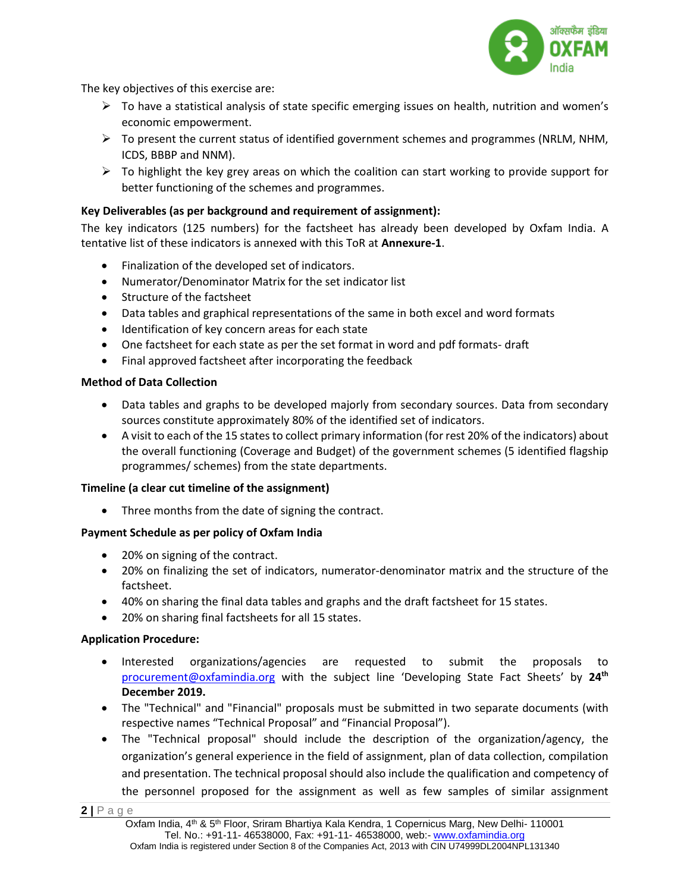

The key objectives of this exercise are:

- $\triangleright$  To have a statistical analysis of state specific emerging issues on health, nutrition and women's economic empowerment.
- $\triangleright$  To present the current status of identified government schemes and programmes (NRLM, NHM, ICDS, BBBP and NNM).
- $\triangleright$  To highlight the key grey areas on which the coalition can start working to provide support for better functioning of the schemes and programmes.

## **Key Deliverables (as per background and requirement of assignment):**

The key indicators (125 numbers) for the factsheet has already been developed by Oxfam India. A tentative list of these indicators is annexed with this ToR at **Annexure-1**.

- Finalization of the developed set of indicators.
- Numerator/Denominator Matrix for the set indicator list
- Structure of the factsheet
- Data tables and graphical representations of the same in both excel and word formats
- Identification of key concern areas for each state
- One factsheet for each state as per the set format in word and pdf formats- draft
- Final approved factsheet after incorporating the feedback

### **Method of Data Collection**

- Data tables and graphs to be developed majorly from secondary sources. Data from secondary sources constitute approximately 80% of the identified set of indicators.
- A visit to each of the 15 states to collect primary information (for rest 20% of the indicators) about the overall functioning (Coverage and Budget) of the government schemes (5 identified flagship programmes/ schemes) from the state departments.

#### **Timeline (a clear cut timeline of the assignment)**

• Three months from the date of signing the contract.

## **Payment Schedule as per policy of Oxfam India**

- 20% on signing of the contract.
- 20% on finalizing the set of indicators, numerator-denominator matrix and the structure of the factsheet.
- 40% on sharing the final data tables and graphs and the draft factsheet for 15 states.
- 20% on sharing final factsheets for all 15 states.

## **Application Procedure:**

- Interested organizations/agencies are requested to submit the proposals to [procurement@oxfamindia.org](mailto:procurement@oxfamindia.org) with the subject line 'Developing State Fact Sheets' by **24th December 2019.**
- The "Technical" and "Financial" proposals must be submitted in two separate documents (with respective names "Technical Proposal" and "Financial Proposal").
- The "Technical proposal" should include the description of the organization/agency, the organization's general experience in the field of assignment, plan of data collection, compilation and presentation. The technical proposal should also include the qualification and competency of the personnel proposed for the assignment as well as few samples of similar assignment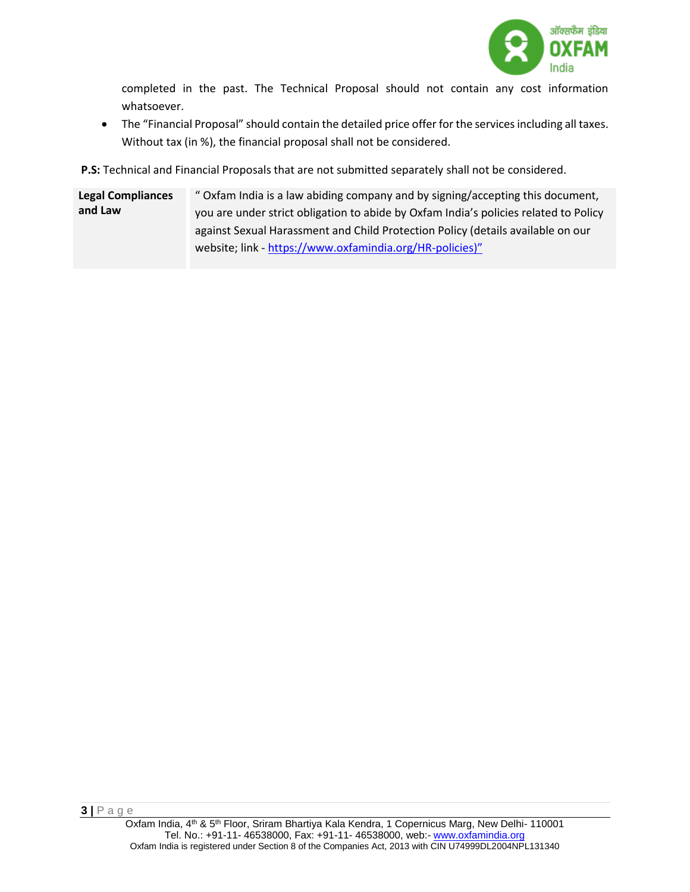

completed in the past. The Technical Proposal should not contain any cost information whatsoever.

 The "Financial Proposal" should contain the detailed price offer for the services including all taxes. Without tax (in %), the financial proposal shall not be considered.

**P.S:** Technical and Financial Proposals that are not submitted separately shall not be considered.

**Legal Compliances and Law** " Oxfam India is a law abiding company and by signing/accepting this document, you are under strict obligation to abide by Oxfam India's policies related to Policy against Sexual Harassment and Child Protection Policy (details available on our website; link - <https://www.oxfamindia.org/HR-policies>)"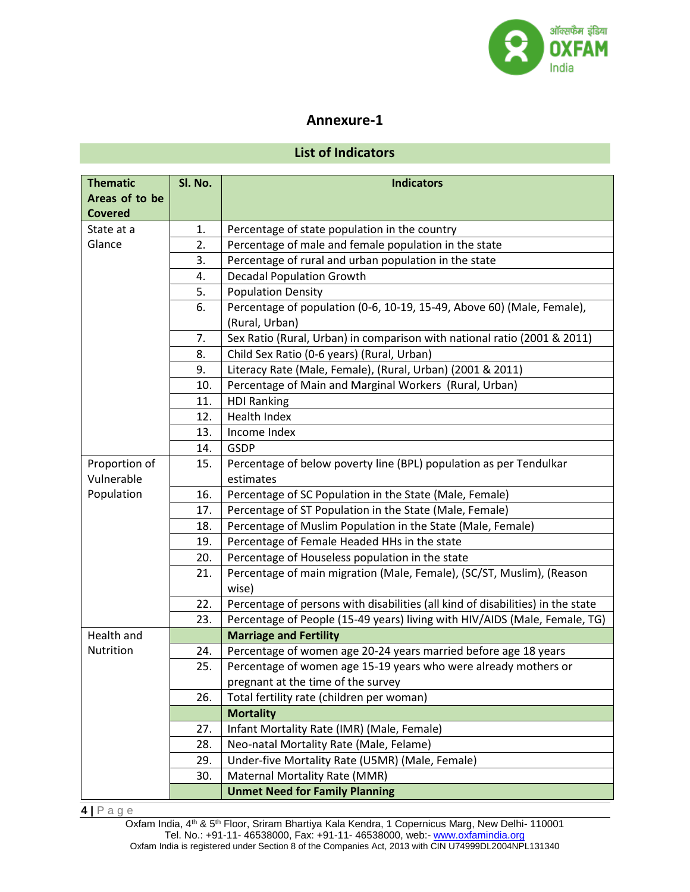

# **Annexure-1**

# **List of Indicators**

| <b>Thematic</b> | Sl. No. | <b>Indicators</b>                                                               |
|-----------------|---------|---------------------------------------------------------------------------------|
| Areas of to be  |         |                                                                                 |
| <b>Covered</b>  |         |                                                                                 |
| State at a      | 1.      | Percentage of state population in the country                                   |
| Glance          | 2.      | Percentage of male and female population in the state                           |
|                 | 3.      | Percentage of rural and urban population in the state                           |
|                 | 4.      | <b>Decadal Population Growth</b>                                                |
|                 | 5.      | <b>Population Density</b>                                                       |
|                 | 6.      | Percentage of population (0-6, 10-19, 15-49, Above 60) (Male, Female),          |
|                 |         | (Rural, Urban)                                                                  |
|                 | 7.      | Sex Ratio (Rural, Urban) in comparison with national ratio (2001 & 2011)        |
|                 | 8.      | Child Sex Ratio (0-6 years) (Rural, Urban)                                      |
|                 | 9.      | Literacy Rate (Male, Female), (Rural, Urban) (2001 & 2011)                      |
|                 | 10.     | Percentage of Main and Marginal Workers (Rural, Urban)                          |
|                 | 11.     | <b>HDI Ranking</b>                                                              |
|                 | 12.     | Health Index                                                                    |
|                 | 13.     | Income Index                                                                    |
|                 | 14.     | <b>GSDP</b>                                                                     |
| Proportion of   | 15.     | Percentage of below poverty line (BPL) population as per Tendulkar              |
| Vulnerable      |         | estimates                                                                       |
| Population      | 16.     | Percentage of SC Population in the State (Male, Female)                         |
|                 | 17.     | Percentage of ST Population in the State (Male, Female)                         |
|                 | 18.     | Percentage of Muslim Population in the State (Male, Female)                     |
|                 | 19.     | Percentage of Female Headed HHs in the state                                    |
|                 | 20.     | Percentage of Houseless population in the state                                 |
|                 | 21.     | Percentage of main migration (Male, Female), (SC/ST, Muslim), (Reason           |
|                 |         | wise)                                                                           |
|                 | 22.     | Percentage of persons with disabilities (all kind of disabilities) in the state |
|                 | 23.     | Percentage of People (15-49 years) living with HIV/AIDS (Male, Female, TG)      |
| Health and      |         | <b>Marriage and Fertility</b>                                                   |
| Nutrition       | 24.     | Percentage of women age 20-24 years married before age 18 years                 |
|                 | 25.     | Percentage of women age 15-19 years who were already mothers or                 |
|                 |         | pregnant at the time of the survey                                              |
|                 | 26.     | Total fertility rate (children per woman)                                       |
|                 |         | <b>Mortality</b>                                                                |
|                 | 27.     | Infant Mortality Rate (IMR) (Male, Female)                                      |
|                 | 28.     | Neo-natal Mortality Rate (Male, Felame)                                         |
|                 | 29.     | Under-five Mortality Rate (U5MR) (Male, Female)                                 |
|                 | 30.     | Maternal Mortality Rate (MMR)                                                   |
|                 |         | <b>Unmet Need for Family Planning</b>                                           |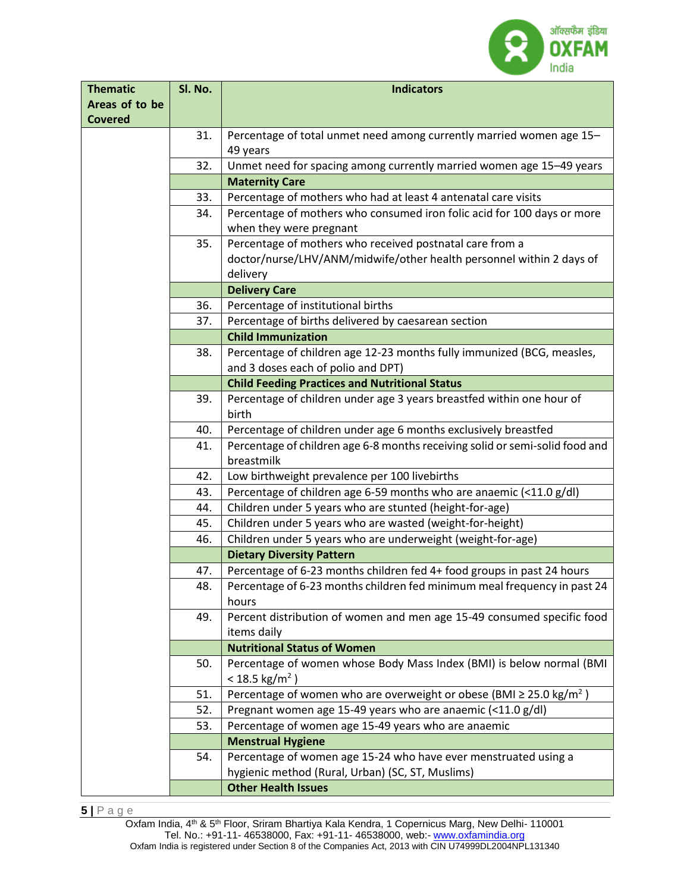

| <b>Thematic</b> | Sl. No. | <b>Indicators</b>                                                                    |
|-----------------|---------|--------------------------------------------------------------------------------------|
| Areas of to be  |         |                                                                                      |
| <b>Covered</b>  |         |                                                                                      |
|                 | 31.     | Percentage of total unmet need among currently married women age 15-                 |
|                 |         | 49 years                                                                             |
|                 | 32.     | Unmet need for spacing among currently married women age 15-49 years                 |
|                 |         | <b>Maternity Care</b>                                                                |
|                 | 33.     | Percentage of mothers who had at least 4 antenatal care visits                       |
|                 | 34.     | Percentage of mothers who consumed iron folic acid for 100 days or more              |
|                 |         | when they were pregnant                                                              |
|                 | 35.     | Percentage of mothers who received postnatal care from a                             |
|                 |         | doctor/nurse/LHV/ANM/midwife/other health personnel within 2 days of                 |
|                 |         | delivery<br><b>Delivery Care</b>                                                     |
|                 | 36.     | Percentage of institutional births                                                   |
|                 | 37.     | Percentage of births delivered by caesarean section                                  |
|                 |         | <b>Child Immunization</b>                                                            |
|                 | 38.     | Percentage of children age 12-23 months fully immunized (BCG, measles,               |
|                 |         | and 3 doses each of polio and DPT)                                                   |
|                 |         | <b>Child Feeding Practices and Nutritional Status</b>                                |
|                 | 39.     | Percentage of children under age 3 years breastfed within one hour of                |
|                 |         | birth                                                                                |
|                 | 40.     | Percentage of children under age 6 months exclusively breastfed                      |
|                 | 41.     | Percentage of children age 6-8 months receiving solid or semi-solid food and         |
|                 |         | breastmilk                                                                           |
|                 | 42.     | Low birthweight prevalence per 100 livebirths                                        |
|                 | 43.     | Percentage of children age 6-59 months who are anaemic (<11.0 g/dl)                  |
|                 | 44.     | Children under 5 years who are stunted (height-for-age)                              |
|                 | 45.     | Children under 5 years who are wasted (weight-for-height)                            |
|                 | 46.     | Children under 5 years who are underweight (weight-for-age)                          |
|                 |         | <b>Dietary Diversity Pattern</b>                                                     |
|                 | 47.     | Percentage of 6-23 months children fed 4+ food groups in past 24 hours               |
|                 | 48.     | Percentage of 6-23 months children fed minimum meal frequency in past 24             |
|                 |         | hours                                                                                |
|                 | 49.     | Percent distribution of women and men age 15-49 consumed specific food               |
|                 |         | items daily                                                                          |
|                 |         | <b>Nutritional Status of Women</b>                                                   |
|                 | 50.     | Percentage of women whose Body Mass Index (BMI) is below normal (BMI                 |
|                 |         | < 18.5 kg/m <sup>2</sup> )                                                           |
|                 | 51.     | Percentage of women who are overweight or obese (BMI $\geq$ 25.0 kg/m <sup>2</sup> ) |
|                 | 52.     | Pregnant women age 15-49 years who are anaemic (<11.0 g/dl)                          |
|                 | 53.     | Percentage of women age 15-49 years who are anaemic                                  |
|                 |         | <b>Menstrual Hygiene</b>                                                             |
|                 | 54.     | Percentage of women age 15-24 who have ever menstruated using a                      |
|                 |         | hygienic method (Rural, Urban) (SC, ST, Muslims)                                     |
|                 |         | <b>Other Health Issues</b>                                                           |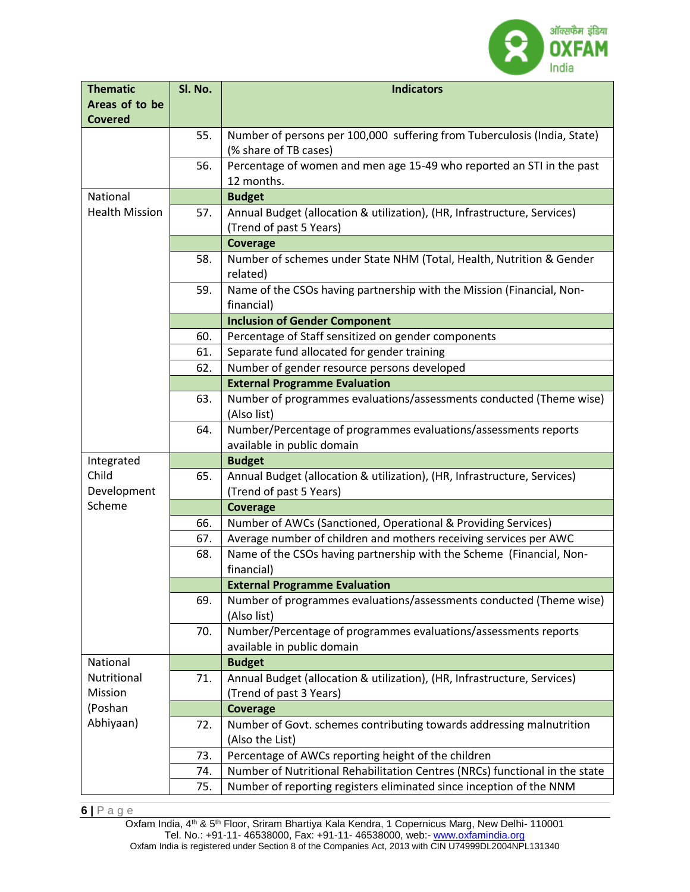

| <b>Thematic</b>       | Sl. No. | <b>Indicators</b>                                                                                 |
|-----------------------|---------|---------------------------------------------------------------------------------------------------|
| Areas of to be        |         |                                                                                                   |
| <b>Covered</b>        |         |                                                                                                   |
|                       | 55.     | Number of persons per 100,000 suffering from Tuberculosis (India, State)<br>(% share of TB cases) |
|                       | 56.     | Percentage of women and men age 15-49 who reported an STI in the past<br>12 months.               |
| National              |         | <b>Budget</b>                                                                                     |
| <b>Health Mission</b> | 57.     | Annual Budget (allocation & utilization), (HR, Infrastructure, Services)                          |
|                       |         | (Trend of past 5 Years)                                                                           |
|                       |         | <b>Coverage</b>                                                                                   |
|                       | 58.     | Number of schemes under State NHM (Total, Health, Nutrition & Gender<br>related)                  |
|                       | 59.     | Name of the CSOs having partnership with the Mission (Financial, Non-<br>financial)               |
|                       |         | <b>Inclusion of Gender Component</b>                                                              |
|                       | 60.     | Percentage of Staff sensitized on gender components                                               |
|                       | 61.     | Separate fund allocated for gender training                                                       |
|                       | 62.     | Number of gender resource persons developed                                                       |
|                       |         | <b>External Programme Evaluation</b>                                                              |
|                       | 63.     | Number of programmes evaluations/assessments conducted (Theme wise)<br>(Also list)                |
|                       | 64.     | Number/Percentage of programmes evaluations/assessments reports<br>available in public domain     |
| Integrated            |         | <b>Budget</b>                                                                                     |
| Child                 | 65.     | Annual Budget (allocation & utilization), (HR, Infrastructure, Services)                          |
| Development           |         | (Trend of past 5 Years)                                                                           |
| Scheme                |         | <b>Coverage</b>                                                                                   |
|                       | 66.     | Number of AWCs (Sanctioned, Operational & Providing Services)                                     |
|                       | 67.     | Average number of children and mothers receiving services per AWC                                 |
|                       | 68.     | Name of the CSOs having partnership with the Scheme (Financial, Non-<br>financial)                |
|                       |         | <b>External Programme Evaluation</b>                                                              |
|                       | 69.     | Number of programmes evaluations/assessments conducted (Theme wise)                               |
|                       |         | (Also list)                                                                                       |
|                       | 70.     | Number/Percentage of programmes evaluations/assessments reports<br>available in public domain     |
| National              |         | <b>Budget</b>                                                                                     |
| Nutritional           | 71.     | Annual Budget (allocation & utilization), (HR, Infrastructure, Services)                          |
| Mission               |         | (Trend of past 3 Years)                                                                           |
| (Poshan               |         | <b>Coverage</b>                                                                                   |
| Abhiyaan)             | 72.     | Number of Govt. schemes contributing towards addressing malnutrition                              |
|                       |         | (Also the List)                                                                                   |
|                       | 73.     | Percentage of AWCs reporting height of the children                                               |
|                       | 74.     | Number of Nutritional Rehabilitation Centres (NRCs) functional in the state                       |
|                       | 75.     | Number of reporting registers eliminated since inception of the NNM                               |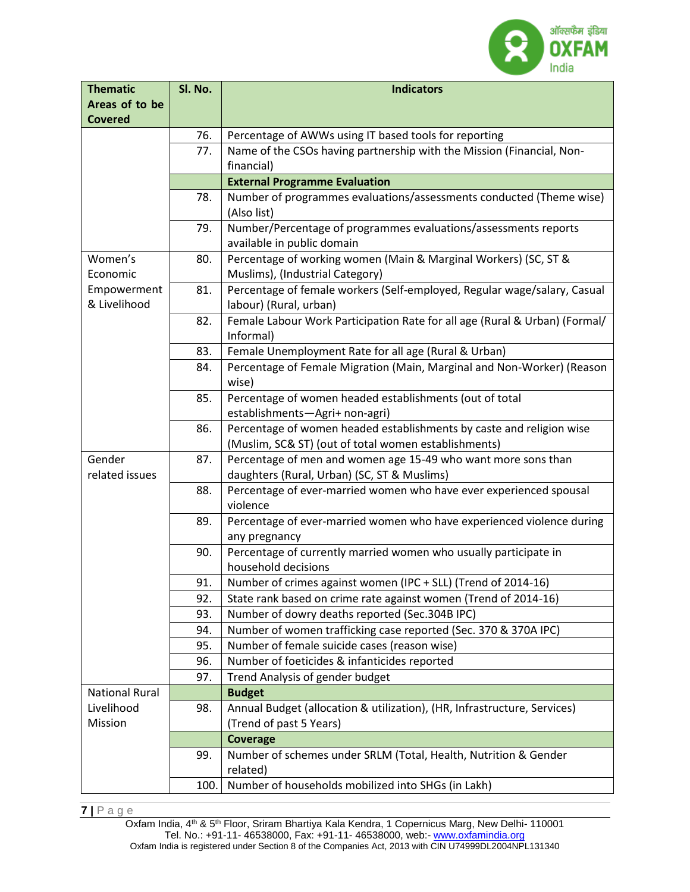

| <b>Thematic</b>       | Sl. No. | <b>Indicators</b>                                                                                            |
|-----------------------|---------|--------------------------------------------------------------------------------------------------------------|
| Areas of to be        |         |                                                                                                              |
| <b>Covered</b>        |         |                                                                                                              |
|                       | 76.     | Percentage of AWWs using IT based tools for reporting                                                        |
|                       | 77.     | Name of the CSOs having partnership with the Mission (Financial, Non-                                        |
|                       |         | financial)                                                                                                   |
|                       |         | <b>External Programme Evaluation</b>                                                                         |
|                       | 78.     | Number of programmes evaluations/assessments conducted (Theme wise)                                          |
|                       |         | (Also list)                                                                                                  |
|                       | 79.     | Number/Percentage of programmes evaluations/assessments reports                                              |
|                       |         | available in public domain                                                                                   |
| Women's               | 80.     | Percentage of working women (Main & Marginal Workers) (SC, ST &                                              |
| Economic              |         | Muslims), (Industrial Category)                                                                              |
| Empowerment           | 81.     | Percentage of female workers (Self-employed, Regular wage/salary, Casual                                     |
| & Livelihood          |         | labour) (Rural, urban)                                                                                       |
|                       | 82.     | Female Labour Work Participation Rate for all age (Rural & Urban) (Formal/                                   |
|                       |         | Informal)                                                                                                    |
|                       | 83.     | Female Unemployment Rate for all age (Rural & Urban)                                                         |
|                       | 84.     | Percentage of Female Migration (Main, Marginal and Non-Worker) (Reason                                       |
|                       |         | wise)                                                                                                        |
|                       | 85.     | Percentage of women headed establishments (out of total                                                      |
|                       |         | establishments-Agri+ non-agri)                                                                               |
|                       | 86.     | Percentage of women headed establishments by caste and religion wise                                         |
| Gender                |         | (Muslim, SC& ST) (out of total women establishments)                                                         |
| related issues        | 87.     | Percentage of men and women age 15-49 who want more sons than<br>daughters (Rural, Urban) (SC, ST & Muslims) |
|                       | 88.     | Percentage of ever-married women who have ever experienced spousal                                           |
|                       |         | violence                                                                                                     |
|                       | 89.     | Percentage of ever-married women who have experienced violence during                                        |
|                       |         | any pregnancy                                                                                                |
|                       | 90.     | Percentage of currently married women who usually participate in                                             |
|                       |         | household decisions                                                                                          |
|                       | 91.     | Number of crimes against women (IPC + SLL) (Trend of 2014-16)                                                |
|                       | 92.     | State rank based on crime rate against women (Trend of 2014-16)                                              |
|                       | 93.     | Number of dowry deaths reported (Sec.304B IPC)                                                               |
|                       | 94.     | Number of women trafficking case reported (Sec. 370 & 370A IPC)                                              |
|                       | 95.     | Number of female suicide cases (reason wise)                                                                 |
|                       | 96.     | Number of foeticides & infanticides reported                                                                 |
|                       | 97.     | Trend Analysis of gender budget                                                                              |
| <b>National Rural</b> |         | <b>Budget</b>                                                                                                |
| Livelihood            | 98.     | Annual Budget (allocation & utilization), (HR, Infrastructure, Services)                                     |
| Mission               |         | (Trend of past 5 Years)                                                                                      |
|                       |         | <b>Coverage</b>                                                                                              |
|                       | 99.     | Number of schemes under SRLM (Total, Health, Nutrition & Gender                                              |
|                       |         | related)                                                                                                     |
|                       | 100.    | Number of households mobilized into SHGs (in Lakh)                                                           |